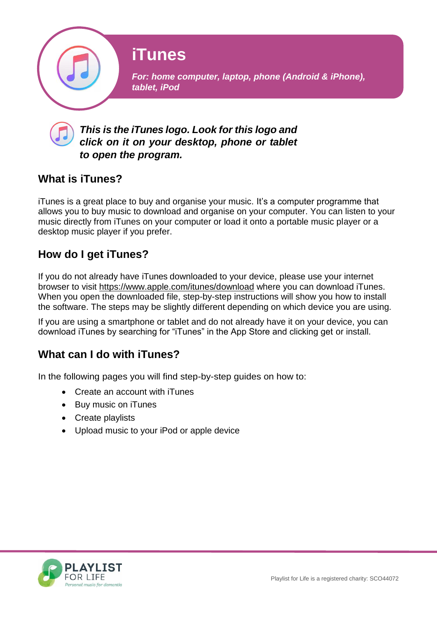

### *This is the iTunes logo. Look for this logo and click on it on your desktop, phone or tablet to open the program.*

## **What is iTunes?**

iTunes is a great place to buy and organise your music. It's a computer programme that allows you to buy music to download and organise on your computer. You can listen to your music directly from iTunes on your computer or load it onto a portable music player or a desktop music player if you prefer.

# **How do I get iTunes?**

If you do not already have iTunes downloaded to your device, please use your internet browser to visit [https://www.apple.com/itunes/download](http://www.apple.com/itunes/download) where you can download iTunes. When you open the downloaded file, step-by-step instructions will show you how to install the software. The steps may be slightly different depending on which device you are using.

If you are using a smartphone or tablet and do not already have it on your device, you can download iTunes by searching for "iTunes" in the App Store and clicking get or install.

# **What can I do with iTunes?**

In the following pages you will find step-by-step guides on how to:

- Create an account with iTunes
- Buy music on iTunes
- Create playlists
- Upload music to your iPod or apple device

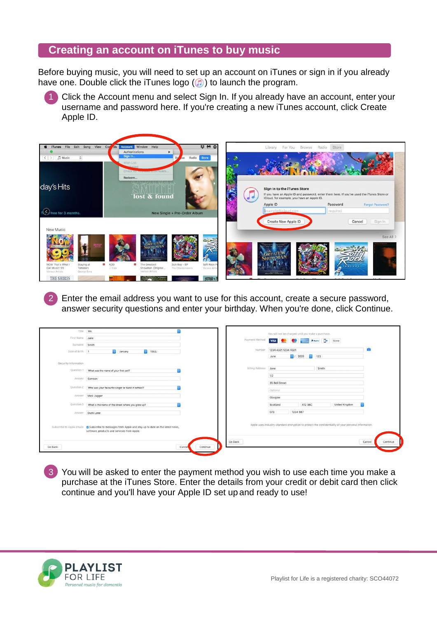#### **Creating an account on iTunes to buy music**

Before buying music, you will need to set up an account on iTunes or sign in if you already have one. Double click the iTunes logo  $(n)$  to launch the program.

Click the Account menu and select Sign In. If you already have an account, enter your username and password here. If you're creating a new iTunes account, click Create Apple ID.



2 Enter the email address you want to use for this account, create a secure password, answer security questions and enter your birthday. When you're done, click Continue.

| Title Ms.            |                                                                                                        |                        | You will not be charged until you make a purchase. |                                                                                                      |                    |
|----------------------|--------------------------------------------------------------------------------------------------------|------------------------|----------------------------------------------------|------------------------------------------------------------------------------------------------------|--------------------|
| First Name Jane      |                                                                                                        | Payment Method         | VISA COMPANY                                       | <b>P</b> PayPal <b>D</b><br>None                                                                     |                    |
| Surname Smith        |                                                                                                        |                        |                                                    |                                                                                                      |                    |
| Date of Birth 1      | $\bullet$<br>€ 1965<br>January                                                                         | Number                 | 1234 4321 1234 4321                                |                                                                                                      | <b>for</b>         |
|                      |                                                                                                        |                        | $\bullet$ / 2020<br>June                           | $\bullet$ 123                                                                                        |                    |
| Security Information |                                                                                                        |                        |                                                    |                                                                                                      |                    |
| Question 1           | What was the name of your first pet?                                                                   | <b>Billing Address</b> | Jane                                               | Smith                                                                                                |                    |
| Answer               | Samson                                                                                                 |                        | 1/2                                                |                                                                                                      |                    |
|                      |                                                                                                        |                        | 35 Bell Street                                     |                                                                                                      |                    |
| Question 2           | Who was your favourite singer or band in school?                                                       |                        | Optional                                           |                                                                                                      |                    |
| Answer               | Mick Jagger                                                                                            |                        | Glasgow                                            |                                                                                                      |                    |
| Question 3           |                                                                                                        |                        |                                                    |                                                                                                      |                    |
|                      | What is the name of the street where you grew up?                                                      |                        | Scotland<br>A12 3BC                                | United Kingdom                                                                                       |                    |
| Answer               | Duck Lane                                                                                              |                        | 073<br>1234 567                                    |                                                                                                      |                    |
|                      |                                                                                                        |                        |                                                    |                                                                                                      |                    |
|                      | Subscribe to Apple emails   2 Subscribe to messages from Apple and stay up to date on the latest news, |                        |                                                    | Apple uses industry-standard encryption to protect the confidentiality of your personal information. |                    |
|                      | software, products and services from Apple.                                                            |                        |                                                    |                                                                                                      |                    |
|                      |                                                                                                        | Go Back                |                                                    |                                                                                                      | Continue<br>Cancel |
| Go Back              | Continue<br>Cancel                                                                                     |                        |                                                    |                                                                                                      |                    |
|                      |                                                                                                        |                        |                                                    |                                                                                                      |                    |

3 You will be asked to enter the payment method you wish to use each time you make a purchase at the iTunes Store. Enter the details from your credit or debit card then click continue and you'll have your Apple ID set up and ready to use!

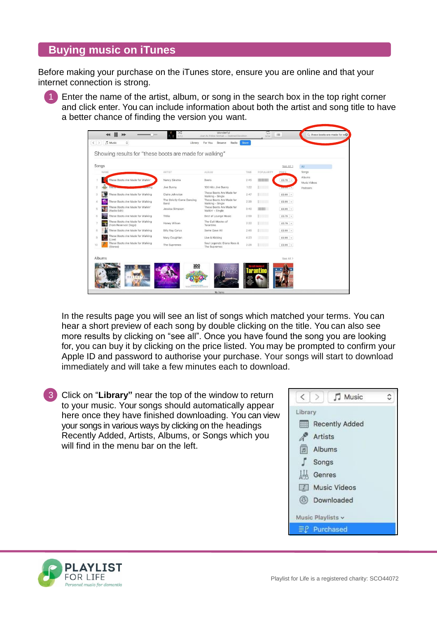#### **Buying music on iTunes**

Before making your purchase on the iTunes store, ensure you are online and that your internet connection is strong.

1 Enter the name of the artist, album, or song in the search box in the top right corner and click enter. You can include information about both the artist and song title to have a better chance of finding the version you want.

| NAME |                                                           |                                   |                                              |      |                        | See All >      | All                    |
|------|-----------------------------------------------------------|-----------------------------------|----------------------------------------------|------|------------------------|----------------|------------------------|
|      |                                                           | ARTIST                            | ALBUM                                        | TIME | POPULARITY             | PRICE          | Songs                  |
|      | These Boots Are Made for Walkin'                          | Nancy Sinatra                     | <b>Boots</b>                                 | 2:45 | <b>RINGER</b>          | $£0.79$ $\vee$ | Albums<br>Music Videos |
|      | orking                                                    | Jive Bunny                        | 100 Hits Jive Bunny                          | 1:22 | <b>Lating</b>          | <b>Lutous</b>  | Podcasts               |
|      | These Boots Are Made for Walking                          | Claire Johnston                   | These Boots Are Made for<br>Walking - Single | 2:47 | <b>District State</b>  | $£0.99$ $\vee$ |                        |
|      | These Boots Are Made for Walking                          | The Strictly Come Dancing<br>Band | These Boots Are Made for<br>Walking - Single | 2:39 | <b>Experience</b>      | $E0.99$ $\sim$ |                        |
|      | These Boots Are Made for Walkin'<br>(Radio Edit)          | Jessica Simpson                   | These Boots Are Made for<br>Walkin' - Single | 3:40 |                        | $E0.99 \sim$   |                        |
|      | These Boots Are Made for Walking                          | Titilia                           | Best of Lounge Music                         | 2:59 | <b>During Co</b>       | $£0.79$ $\vee$ |                        |
| ு வ  | These Boots Are Made for Walking<br>(from Reservoir Dogs) | Honey Wilson                      | The Cult Movies of<br>Tarantino              | 2:22 | <b>The Community</b>   | $£0.79$ $\vee$ |                        |
|      | These Boots Are Made for Walking                          | <b>Billy Ray Cyrus</b>            | Some Gave All                                | 2:48 | <b>Expertise State</b> | £0.99 $\sim$   |                        |
|      | These Boots Are Made for Walking<br>(Live)                | Mary Coughlan                     | Live & Kicking                               | 4:23 | <b>Marketing</b>       | $£0.99$ $\vee$ |                        |
|      | These Boots Are Made for Walking<br>(Stereo)              | The Supremes                      | Soul Legends: Diana Ross &<br>The Supremes   | 2:28 | <b>TOWN TWO</b>        | $E0.99 -$      |                        |

In the results page you will see an list of songs which matched your terms. You can hear a short preview of each song by double clicking on the title. You can also see more results by clicking on "see all". Once you have found the song you are looking for, you can buy it by clicking on the price listed. You may be prompted to confirm your Apple ID and password to authorise your purchase. Your songs will start to download immediately and will take a few minutes each to download.

3 Click on "**Library"** near the top of the window to return to your music. Your songs should automatically appear here once they have finished downloading. You can view your songs in various ways by clicking on the headings Recently Added, Artists, Albums, or Songs which you will find in the menu bar on the left.



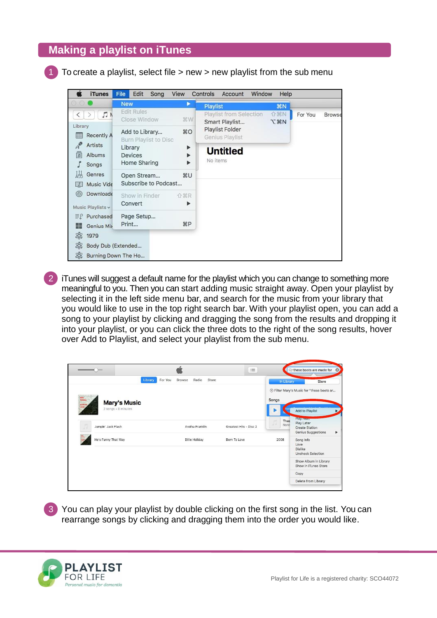#### **Making a playlist on iTunes**

To create a playlist, select file  $>$  new  $>$  new playlist from the sub menu



iTunes will suggest a default name for the playlist which you can change to something more meaningful to you. Then you can start adding music straight away. Open your playlist by selecting it in the left side menu bar, and search for the music from your library that you would like to use in the top right search bar. With your playlist open, you can add a song to your playlist by clicking and dragging the song from the results and dropping it into your playlist, or you can click the three dots to the right of the song results, hover over Add to Playlist, and select your playlist from the sub menu.

|                                          | <b>The Contract</b> |         | $\mathcal{L}$     |                       | $\mathrel{\mathop:}=$  |              | Q-these boots are made for                                                     |
|------------------------------------------|---------------------|---------|-------------------|-----------------------|------------------------|--------------|--------------------------------------------------------------------------------|
|                                          |                     | Library | For You<br>Browse | Radio<br>Store        |                        | In Library   | Store                                                                          |
|                                          |                     |         |                   |                       |                        |              | S Filter Mary's Music for "these boots ar                                      |
| <b>Sille</b><br>Holday<br><b>BORN TO</b> | <b>Mary's Music</b> |         |                   |                       | Songs                  |              |                                                                                |
|                                          | 2 songs · 8 minutes |         |                   |                       |                        |              | Add to Playlist                                                                |
|                                          | Jumpin' Jack Flash  |         |                   | Aretha Franklin       | Greatest Hits - Disc 2 | Thes<br>Nand | Play INCAL<br>Play Later<br><b>Create Station</b><br><b>Genius Suggestions</b> |
|                                          | He's Funny That Way |         |                   | <b>Billie Holiday</b> | Born To Love           | 2008         | Song Info<br>Love<br><b>Dislike</b><br><b>Uncheck Selection</b>                |
|                                          |                     |         |                   |                       |                        |              | Show Album in Library<br>Show in iTunes Store                                  |
|                                          |                     |         |                   |                       |                        |              | Copy                                                                           |
|                                          |                     |         |                   |                       |                        |              | Delete from Library                                                            |

3 You can play your playlist by double clicking on the first song in the list. You can rearrange songs by clicking and dragging them into the order you would like.